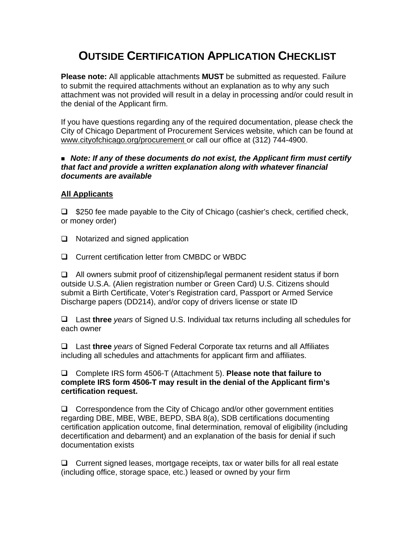# **OUTSIDE CERTIFICATION APPLICATION CHECKLIST**

**Please note:** All applicable attachments **MUST** be submitted as requested. Failure to submit the required attachments without an explanation as to why any such attachment was not provided will result in a delay in processing and/or could result in the denial of the Applicant firm.

If you have questions regarding any of the required documentation, please check the City of Chicago Department of Procurement Services website, which can be found at www.cityofchicago.org/procurement or call our office at (312) 744-4900.

#### *Note: If any of these documents do not exist, the Applicant firm must certify that fact and provide a written explanation along with whatever financial documents are available*

#### **All Applicants**

 $\Box$  \$250 fee made payable to the City of Chicago (cashier's check, certified check, or money order)

- $\Box$  Notarized and signed application
- □ Current certification letter from CMBDC or WBDC

 $\Box$  All owners submit proof of citizenship/legal permanent resident status if born outside U.S.A. (Alien registration number or Green Card) U.S. Citizens should submit a Birth Certificate, Voter's Registration card, Passport or Armed Service Discharge papers (DD214), and/or copy of drivers license or state ID

Last **three** *years* of Signed U.S. Individual tax returns including all schedules for each owner

Last **three** *years* of Signed Federal Corporate tax returns and all Affiliates including all schedules and attachments for applicant firm and affiliates.

Complete IRS form 4506-T (Attachment 5). **Please note that failure to complete IRS form 4506-T may result in the denial of the Applicant firm's certification request.** 

 $\Box$  Correspondence from the City of Chicago and/or other government entities regarding DBE, MBE, WBE, BEPD, SBA 8(a), SDB certifications documenting certification application outcome, final determination, removal of eligibility (including decertification and debarment) and an explanation of the basis for denial if such documentation exists

 $\Box$  Current signed leases, mortgage receipts, tax or water bills for all real estate (including office, storage space, etc.) leased or owned by your firm